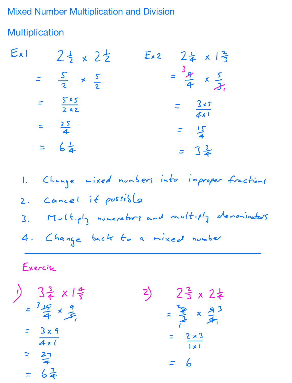Mixed Number Multiplication and Division

## **Multiplication**

| Exl                               | $2\frac{1}{2} \times 2\frac{1}{2}$ | $24 \times 13$<br>$E_{\star}$ 2     |  |
|-----------------------------------|------------------------------------|-------------------------------------|--|
| $\overline{\phantom{0}}$          | $rac{5}{2}$ $\times$ $rac{5}{2}$   | $=\frac{3g}{4} \times \frac{5}{21}$ |  |
| $\frac{5x5}{2x2}$<br>$\mathbb{R}$ |                                    | $=$ $\frac{4x_1}{3x_2}$             |  |
| $=\frac{2S}{4}$                   |                                    | $\frac{1}{2}$                       |  |
| $= 6\frac{1}{4}$                  |                                    | $= 3\frac{3}{4}$                    |  |

1. Change mixed numbers into improper fractions 2. Cancel if possible 3. Multiply numerators and multiply denominators <sup>4</sup> Change back to <sup>a</sup> mixed number

Exercise

 $\left(\frac{3}{4} \times 1\frac{4}{5}\right)$  2 $\frac{3}{4} \times 2\frac{1}{5}$ 3 x  $=\frac{3 \times 9}{4 \times 1}$  $=\frac{12}{3} \times \frac{93}{4}$  $\frac{3 \times 9}{2 \times 1}$  =  $\frac{2 \times 3}{1}$  $1 \times 1$  $7<sup>1</sup>$  6  $= 6\frac{3}{4}$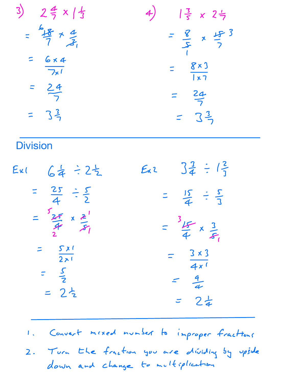| $3)$ $24 \times 15$                           | $\frac{3}{5} \times 2\frac{1}{7}$<br>4)            |
|-----------------------------------------------|----------------------------------------------------|
| $\frac{6}{7}$ + $\frac{4}{3}$<br>$\mathbf{z}$ | $=\frac{8}{5} \times \frac{15}{7}$                 |
| $=$ $\frac{6 \times 4}{7 \times 1}$           | $\frac{8\times3}{1\times7}$                        |
| $\frac{24}{7}$<br>$\Xi$                       | $rac{24}{7}$                                       |
| $= 3\frac{3}{2}$                              | $= 3\frac{3}{7}$                                   |
| <b>Division</b>                               |                                                    |
| 64 : 25<br>Exl                                | $3\frac{3}{4} \div 1\frac{2}{1}$<br>$E_{\kappa}$ 2 |

| $rac{25}{4}$ $\div \frac{5}{2}$                                          | $\frac{4}{15}$ = $\frac{3}{5}$<br>$\equiv$                             |
|--------------------------------------------------------------------------|------------------------------------------------------------------------|
| $\frac{25}{7} \times \frac{2}{51}$<br>2.                                 | $\frac{25}{4} \times \frac{3}{5}$                                      |
| S X<br>$\overline{211}$<br>$= \frac{S}{2}$<br>$2\frac{1}{2}$<br>$\equiv$ | $3 \times 3$<br>$\equiv$<br>4x<br>$\frac{9}{4}$<br>$2\frac{1}{4}$<br>ニ |

<sup>I</sup> Convert mixed number to improper fractions

2. Turn the fraction you are dividing by upside down and change to multiplication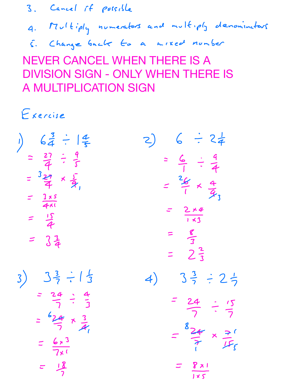3. Cancel if possible

Multiply numerators and multiply denominators

Change back to <sup>a</sup> mixed number

NEVER CANCEL WHEN THERE IS A DIVISION SIGN - ONLY WHEN THERE IS A MULTIPLICATION SIGN

Exercise

| $6\frac{3}{4} \div 1\frac{4}{5}$<br>= $\frac{27}{4} \div \frac{9}{5}$<br>= $\frac{27}{4} \times \frac{5}{4}$<br>= $\frac{15}{4}$<br>= $\frac{15}{4}$<br>= $\frac{3}{4}$<br>$\big)$ | $6 \div 24$<br>$\mathcal{L}$<br>$=\frac{6}{1} \div \frac{9}{4}$<br>$\frac{26}{1} \times \frac{4}{3}$<br>$\mathbf{r}$<br>$=\frac{2\times4}{1\times3}$<br>$=\frac{8}{3}$<br>= $2\frac{2}{3}$ |
|------------------------------------------------------------------------------------------------------------------------------------------------------------------------------------|--------------------------------------------------------------------------------------------------------------------------------------------------------------------------------------------|
| $3\frac{3}{7} \div 1\frac{1}{3}$<br>3)<br>$=\frac{24}{7} \div \frac{4}{3}$<br>$= \frac{624}{7} \times \frac{3}{4}$<br>$=$ $\frac{6 \times 3}{7 \times 1}$<br>$z = \frac{18}{2}$    | $3\frac{3}{7} \div 2\frac{1}{7}$<br>4)<br>$= 24 : 15$<br>$=\frac{824}{7} \times \frac{7}{15}$<br>$\frac{8\times1}{8\times1}$                                                               |